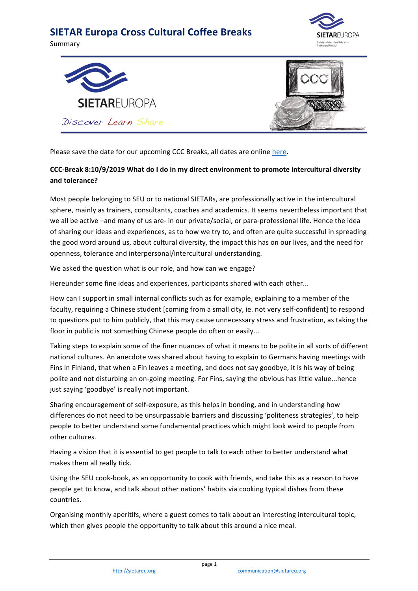## **SIETAR Europa Cross Cultural Coffee Breaks**

Summary







Please save the date for our upcoming CCC Breaks, all dates are online here.

## CCC-Break 8:10/9/2019 What do I do in my direct environment to promote intercultural diversity **and tolerance?**

Most people belonging to SEU or to national SIETARs, are professionally active in the intercultural sphere, mainly as trainers, consultants, coaches and academics. It seems nevertheless important that we all be active -and many of us are- in our private/social, or para-professional life. Hence the idea of sharing our ideas and experiences, as to how we try to, and often are quite successful in spreading the good word around us, about cultural diversity, the impact this has on our lives, and the need for openness, tolerance and interpersonal/intercultural understanding.

We asked the question what is our role, and how can we engage?

Hereunder some fine ideas and experiences, participants shared with each other...

How can I support in small internal conflicts such as for example, explaining to a member of the faculty, requiring a Chinese student [coming from a small city, ie. not very self-confident] to respond to questions put to him publicly, that this may cause unnecessary stress and frustration, as taking the floor in public is not something Chinese people do often or easily...

Taking steps to explain some of the finer nuances of what it means to be polite in all sorts of different national cultures. An anecdote was shared about having to explain to Germans having meetings with Fins in Finland, that when a Fin leaves a meeting, and does not say goodbye, it is his way of being polite and not disturbing an on-going meeting. For Fins, saying the obvious has little value...hence just saying 'goodbye' is really not important.

Sharing encouragement of self-exposure, as this helps in bonding, and in understanding how differences do not need to be unsurpassable barriers and discussing 'politeness strategies', to help people to better understand some fundamental practices which might look weird to people from other cultures.

Having a vision that it is essential to get people to talk to each other to better understand what makes them all really tick.

Using the SEU cook-book, as an opportunity to cook with friends, and take this as a reason to have people get to know, and talk about other nations' habits via cooking typical dishes from these countries.

Organising monthly aperitifs, where a guest comes to talk about an interesting intercultural topic, which then gives people the opportunity to talk about this around a nice meal.